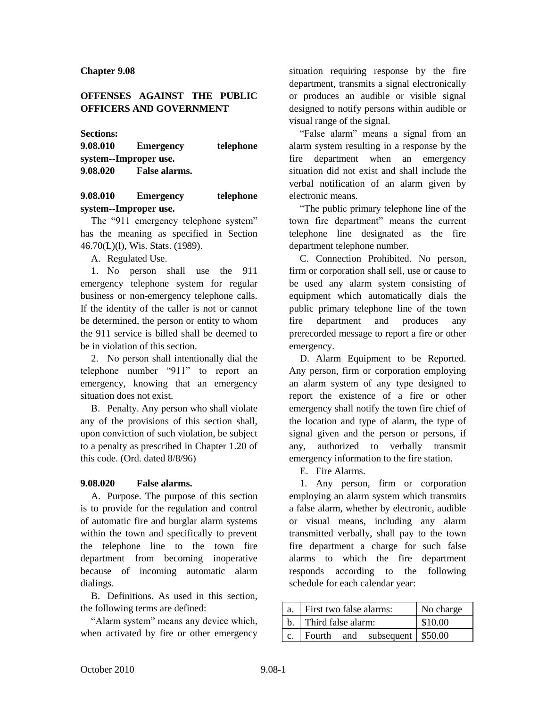## **OFFENSES AGAINST THE PUBLIC OFFICERS AND GOVERNMENT**

**Sections:**

| 9.08.010              | <b>Emergency</b> | telephone |  |  |  |  |
|-----------------------|------------------|-----------|--|--|--|--|
| system--Improper use. |                  |           |  |  |  |  |
| 9.08.020              | False alarms.    |           |  |  |  |  |

## **9.08.010 Emergency telephone system--Improper use.**

The "911 emergency telephone system" has the meaning as specified in Section 46.70(L)(l), Wis. Stats. (1989).

A. Regulated Use.

1. No person shall use the 911 emergency telephone system for regular business or non-emergency telephone calls. If the identity of the caller is not or cannot be determined, the person or entity to whom the 911 service is billed shall be deemed to be in violation of this section.

2. No person shall intentionally dial the telephone number "911" to report an emergency, knowing that an emergency situation does not exist.

B. Penalty. Any person who shall violate any of the provisions of this section shall, upon conviction of such violation, be subject to a penalty as prescribed in Chapter 1.20 of this code. (Ord. dated 8/8/96)

## **9.08.020 False alarms.**

A. Purpose. The purpose of this section is to provide for the regulation and control of automatic fire and burglar alarm systems within the town and specifically to prevent the telephone line to the town fire department from becoming inoperative because of incoming automatic alarm dialings.

B. Definitions. As used in this section, the following terms are defined:

"Alarm system" means any device which, when activated by fire or other emergency

situation requiring response by the fire department, transmits a signal electronically or produces an audible or visible signal designed to notify persons within audible or visual range of the signal.

"False alarm" means a signal from an alarm system resulting in a response by the fire department when an emergency situation did not exist and shall include the verbal notification of an alarm given by electronic means.

"The public primary telephone line of the town fire department" means the current telephone line designated as the fire department telephone number.

C. Connection Prohibited. No person, firm or corporation shall sell, use or cause to be used any alarm system consisting of equipment which automatically dials the public primary telephone line of the town fire department and produces any prerecorded message to report a fire or other emergency.

D. Alarm Equipment to be Reported. Any person, firm or corporation employing an alarm system of any type designed to report the existence of a fire or other emergency shall notify the town fire chief of the location and type of alarm, the type of signal given and the person or persons, if any, authorized to verbally transmit emergency information to the fire station.

E. Fire Alarms.

1. Any person, firm or corporation employing an alarm system which transmits a false alarm, whether by electronic, audible or visual means, including any alarm transmitted verbally, shall pay to the town fire department a charge for such false alarms to which the fire department responds according to the following schedule for each calendar year:

| a.             | First two false alarms: | No charge |                               |         |
|----------------|-------------------------|-----------|-------------------------------|---------|
|                | b. Third false alarm:   |           |                               | \$10.00 |
| $\mathbf{c}$ . |                         |           | Fourth and subsequent \$50.00 |         |